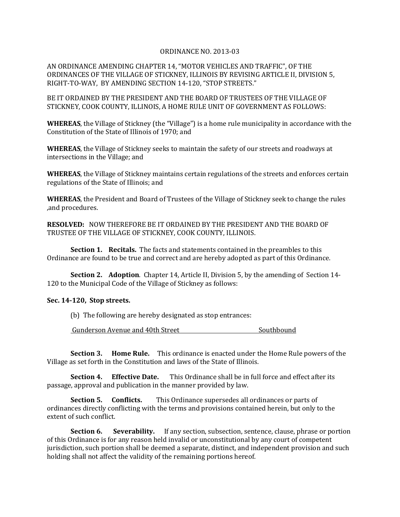## ORDINANCE NO. 2013-03

AN ORDINANCE AMENDING CHAPTER 14, "MOTOR VEHICLES AND TRAFFIC", OF THE ORDINANCES OF THE VILLAGE OF STICKNEY, ILLINOIS BY REVISING ARTICLE II, DIVISION 5, RIGHT-TO-WAY, BY AMENDING SECTION 14-120, "STOP STREETS."

BE IT ORDAINED BY THE PRESIDENT AND THE BOARD OF TRUSTEES OF THE VILLAGE OF STICKNEY, COOK COUNTY, ILLINOIS, A HOME RULE UNIT OF GOVERNMENT AS FOLLOWS:

**WHEREAS**, the Village of Stickney (the "Village") is a home rule municipality in accordance with the Constitution of the State of Illinois of 1970; and

**WHEREAS**, the Village of Stickney seeks to maintain the safety of our streets and roadways at intersections in the Village; and

**WHEREAS**, the Village of Stickney maintains certain regulations of the streets and enforces certain regulations of the State of Illinois; and

**WHEREAS**, the President and Board of Trustees of the Village of Stickney seek to change the rules ,and procedures.

**RESOLVED:** NOW THEREFORE BE IT ORDAINED BY THE PRESIDENT AND THE BOARD OF TRUSTEE OF THE VILLAGE OF STICKNEY, COOK COUNTY, ILLINOIS.

**Section 1. Recitals.** The facts and statements contained in the preambles to this Ordinance are found to be true and correct and are hereby adopted as part of this Ordinance.

**Section 2. Adoption**. Chapter 14, Article II, Division 5, by the amending of Section 14- 120 to the Municipal Code of the Village of Stickney as follows:

## **Sec. 14-120, Stop streets.**

(b) The following are hereby designated as stop entrances:

Gunderson Avenue and 40th Street Southbound

**Section 3. Home Rule.** This ordinance is enacted under the Home Rule powers of the Village as set forth in the Constitution and laws of the State of Illinois.

**Section 4. Effective Date.** This Ordinance shall be in full force and effect after its passage, approval and publication in the manner provided by law.

**Section 5. Conflicts.** This Ordinance supersedes all ordinances or parts of ordinances directly conflicting with the terms and provisions contained herein, but only to the extent of such conflict.

**Section 6.** Severability. If any section, subsection, sentence, clause, phrase or portion of this Ordinance is for any reason held invalid or unconstitutional by any court of competent jurisdiction, such portion shall be deemed a separate, distinct, and independent provision and such holding shall not affect the validity of the remaining portions hereof.